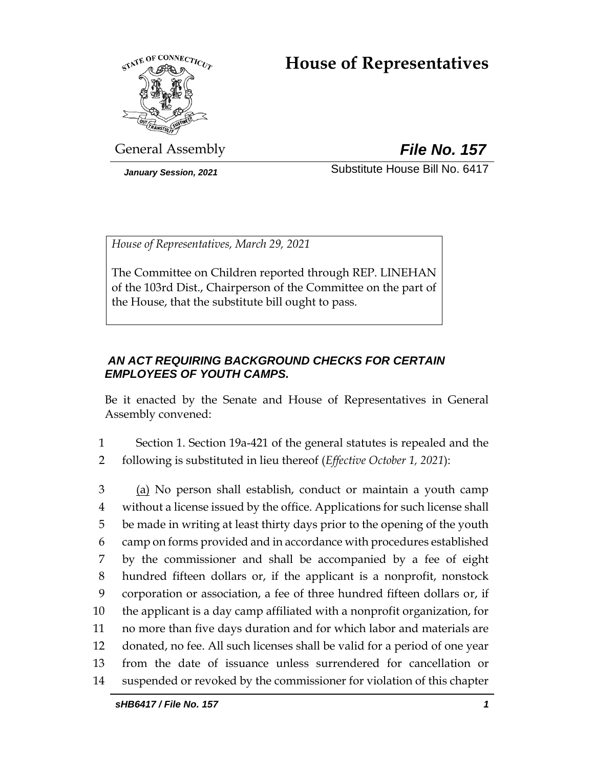# **House of Representatives**



General Assembly *File No. 157*

*January Session, 2021* Substitute House Bill No. 6417

*House of Representatives, March 29, 2021*

The Committee on Children reported through REP. LINEHAN of the 103rd Dist., Chairperson of the Committee on the part of the House, that the substitute bill ought to pass.

# *AN ACT REQUIRING BACKGROUND CHECKS FOR CERTAIN EMPLOYEES OF YOUTH CAMPS.*

Be it enacted by the Senate and House of Representatives in General Assembly convened:

1 Section 1. Section 19a-421 of the general statutes is repealed and the 2 following is substituted in lieu thereof (*Effective October 1, 2021*):

3 (a) No person shall establish, conduct or maintain a youth camp without a license issued by the office. Applications for such license shall be made in writing at least thirty days prior to the opening of the youth camp on forms provided and in accordance with procedures established by the commissioner and shall be accompanied by a fee of eight hundred fifteen dollars or, if the applicant is a nonprofit, nonstock corporation or association, a fee of three hundred fifteen dollars or, if the applicant is a day camp affiliated with a nonprofit organization, for no more than five days duration and for which labor and materials are donated, no fee. All such licenses shall be valid for a period of one year from the date of issuance unless surrendered for cancellation or suspended or revoked by the commissioner for violation of this chapter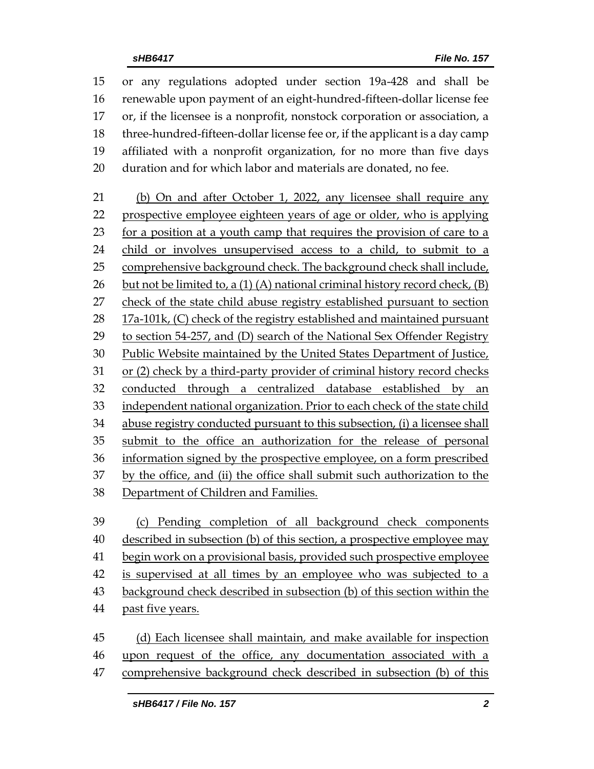or any regulations adopted under section 19a-428 and shall be renewable upon payment of an eight-hundred-fifteen-dollar license fee or, if the licensee is a nonprofit, nonstock corporation or association, a three-hundred-fifteen-dollar license fee or, if the applicant is a day camp affiliated with a nonprofit organization, for no more than five days duration and for which labor and materials are donated, no fee. (b) On and after October 1, 2022, any licensee shall require any prospective employee eighteen years of age or older, who is applying for a position at a youth camp that requires the provision of care to a child or involves unsupervised access to a child, to submit to a comprehensive background check. The background check shall include, 26 but not be limited to, a  $(1)$   $(A)$  national criminal history record check,  $(B)$ 27 check of the state child abuse registry established pursuant to section 17a-101k, (C) check of the registry established and maintained pursuant to section 54-257, and (D) search of the National Sex Offender Registry Public Website maintained by the United States Department of Justice, or (2) check by a third-party provider of criminal history record checks 32 conducted through a centralized database established by an independent national organization. Prior to each check of the state child abuse registry conducted pursuant to this subsection, (i) a licensee shall submit to the office an authorization for the release of personal information signed by the prospective employee, on a form prescribed by the office, and (ii) the office shall submit such authorization to the Department of Children and Families. (c) Pending completion of all background check components described in subsection (b) of this section, a prospective employee may begin work on a provisional basis, provided such prospective employee 42 is supervised at all times by an employee who was subjected to a

- background check described in subsection (b) of this section within the
- past five years.
- (d) Each licensee shall maintain, and make available for inspection upon request of the office, any documentation associated with a comprehensive background check described in subsection (b) of this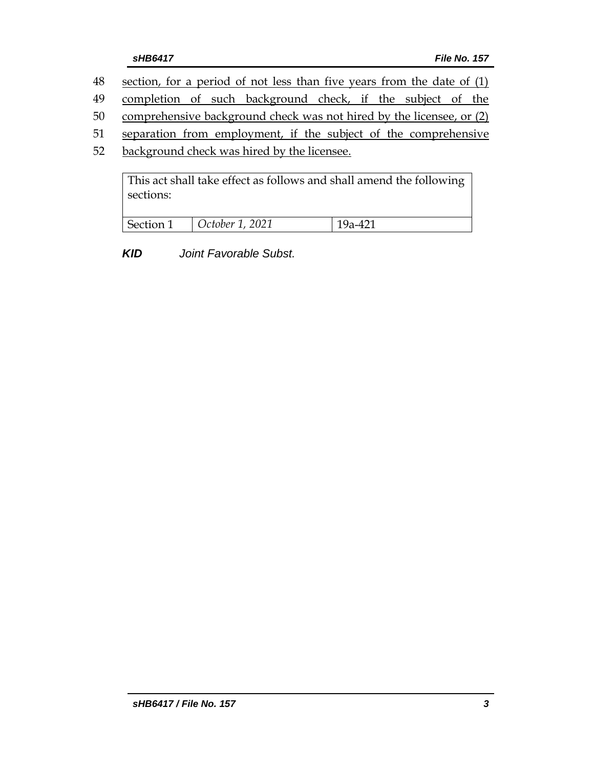- 48 section, for a period of not less than five years from the date of (1)
- 49 completion of such background check, if the subject of the
- 50 comprehensive background check was not hired by the licensee, or (2)
- 51 separation from employment, if the subject of the comprehensive
- 52 background check was hired by the licensee.

This act shall take effect as follows and shall amend the following sections:

| <b>Section 1</b> | $\vert$ October 1, 2021 |  |
|------------------|-------------------------|--|
|                  |                         |  |

*KID Joint Favorable Subst.*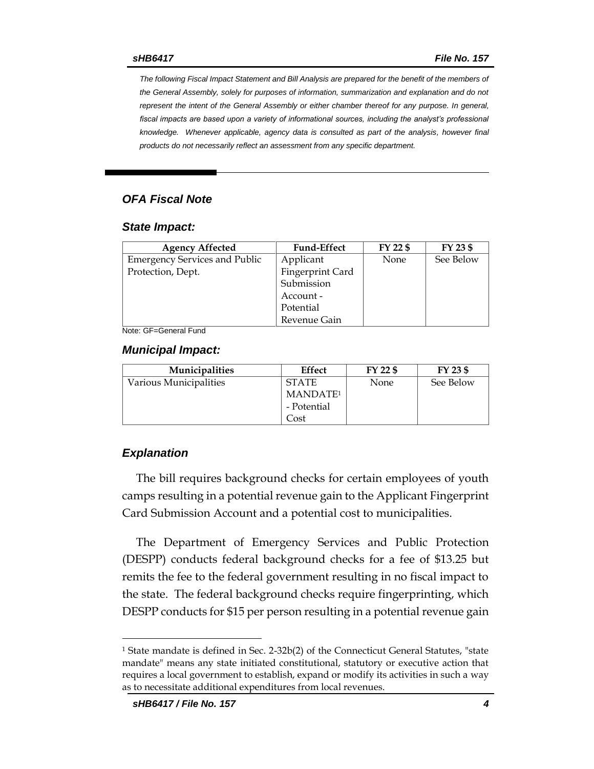*The following Fiscal Impact Statement and Bill Analysis are prepared for the benefit of the members of the General Assembly, solely for purposes of information, summarization and explanation and do not represent the intent of the General Assembly or either chamber thereof for any purpose. In general,*  fiscal impacts are based upon a variety of informational sources, including the analyst's professional *knowledge. Whenever applicable, agency data is consulted as part of the analysis, however final products do not necessarily reflect an assessment from any specific department.*

#### *OFA Fiscal Note*

#### *State Impact:*

| FY 22 \$<br><b>Fund-Effect</b> | FY 23 \$                                                                                      |
|--------------------------------|-----------------------------------------------------------------------------------------------|
|                                | See Below                                                                                     |
|                                |                                                                                               |
|                                |                                                                                               |
|                                |                                                                                               |
|                                |                                                                                               |
|                                |                                                                                               |
|                                | Applicant<br>None<br>Fingerprint Card<br>Submission<br>Account -<br>Potential<br>Revenue Gain |

Note: GF=General Fund

#### *Municipal Impact:*

| <b>Municipalities</b>  | Effect               | FY 22 \$    | FY 23 \$  |
|------------------------|----------------------|-------------|-----------|
| Various Municipalities | <b>STATE</b>         | <b>None</b> | See Below |
|                        | MANDATE <sup>1</sup> |             |           |
|                        | - Potential          |             |           |
|                        | Cost                 |             |           |

#### *Explanation*

 $\overline{a}$ 

The bill requires background checks for certain employees of youth camps resulting in a potential revenue gain to the Applicant Fingerprint Card Submission Account and a potential cost to municipalities.

The Department of Emergency Services and Public Protection (DESPP) conducts federal background checks for a fee of \$13.25 but remits the fee to the federal government resulting in no fiscal impact to the state. The federal background checks require fingerprinting, which DESPP conducts for \$15 per person resulting in a potential revenue gain

<sup>&</sup>lt;sup>1</sup> State mandate is defined in Sec. 2-32b(2) of the Connecticut General Statutes, "state mandate" means any state initiated constitutional, statutory or executive action that requires a local government to establish, expand or modify its activities in such a way as to necessitate additional expenditures from local revenues.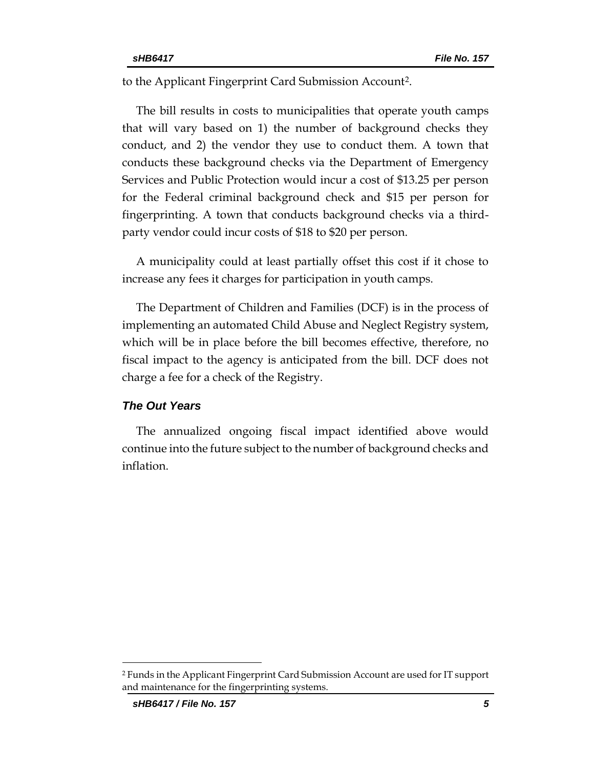to the Applicant Fingerprint Card Submission Account<sup>2</sup> .

The bill results in costs to municipalities that operate youth camps that will vary based on 1) the number of background checks they conduct, and 2) the vendor they use to conduct them. A town that conducts these background checks via the Department of Emergency Services and Public Protection would incur a cost of \$13.25 per person for the Federal criminal background check and \$15 per person for fingerprinting. A town that conducts background checks via a thirdparty vendor could incur costs of \$18 to \$20 per person.

A municipality could at least partially offset this cost if it chose to increase any fees it charges for participation in youth camps.

The Department of Children and Families (DCF) is in the process of implementing an automated Child Abuse and Neglect Registry system, which will be in place before the bill becomes effective, therefore, no fiscal impact to the agency is anticipated from the bill. DCF does not charge a fee for a check of the Registry.

#### *The Out Years*

The annualized ongoing fiscal impact identified above would continue into the future subject to the number of background checks and inflation.

 $\overline{a}$ 

<sup>2</sup> Funds in the Applicant Fingerprint Card Submission Account are used for IT support and maintenance for the fingerprinting systems.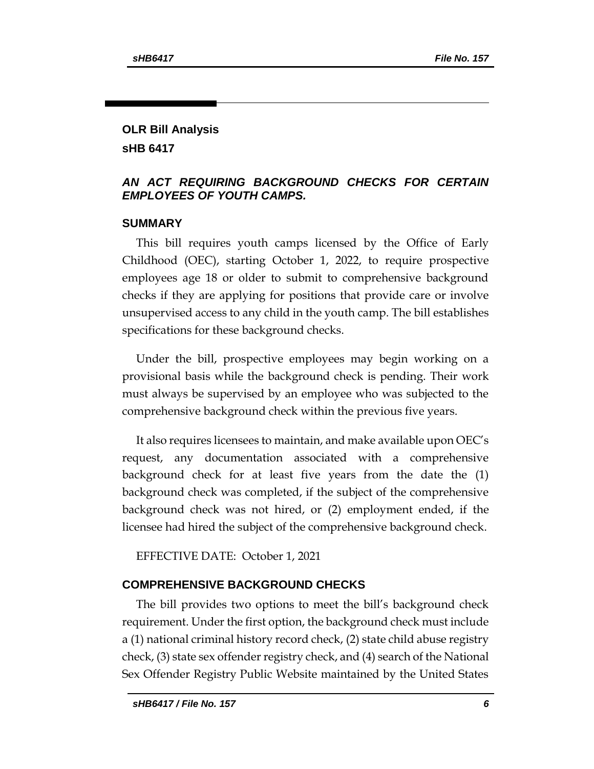## **OLR Bill Analysis sHB 6417**

## *AN ACT REQUIRING BACKGROUND CHECKS FOR CERTAIN EMPLOYEES OF YOUTH CAMPS.*

### **SUMMARY**

This bill requires youth camps licensed by the Office of Early Childhood (OEC), starting October 1, 2022, to require prospective employees age 18 or older to submit to comprehensive background checks if they are applying for positions that provide care or involve unsupervised access to any child in the youth camp. The bill establishes specifications for these background checks.

Under the bill, prospective employees may begin working on a provisional basis while the background check is pending. Their work must always be supervised by an employee who was subjected to the comprehensive background check within the previous five years.

It also requires licensees to maintain, and make available upon OEC's request, any documentation associated with a comprehensive background check for at least five years from the date the (1) background check was completed, if the subject of the comprehensive background check was not hired, or (2) employment ended, if the licensee had hired the subject of the comprehensive background check.

EFFECTIVE DATE: October 1, 2021

### **COMPREHENSIVE BACKGROUND CHECKS**

The bill provides two options to meet the bill's background check requirement. Under the first option, the background check must include a (1) national criminal history record check, (2) state child abuse registry check, (3) state sex offender registry check, and (4) search of the National Sex Offender Registry Public Website maintained by the United States